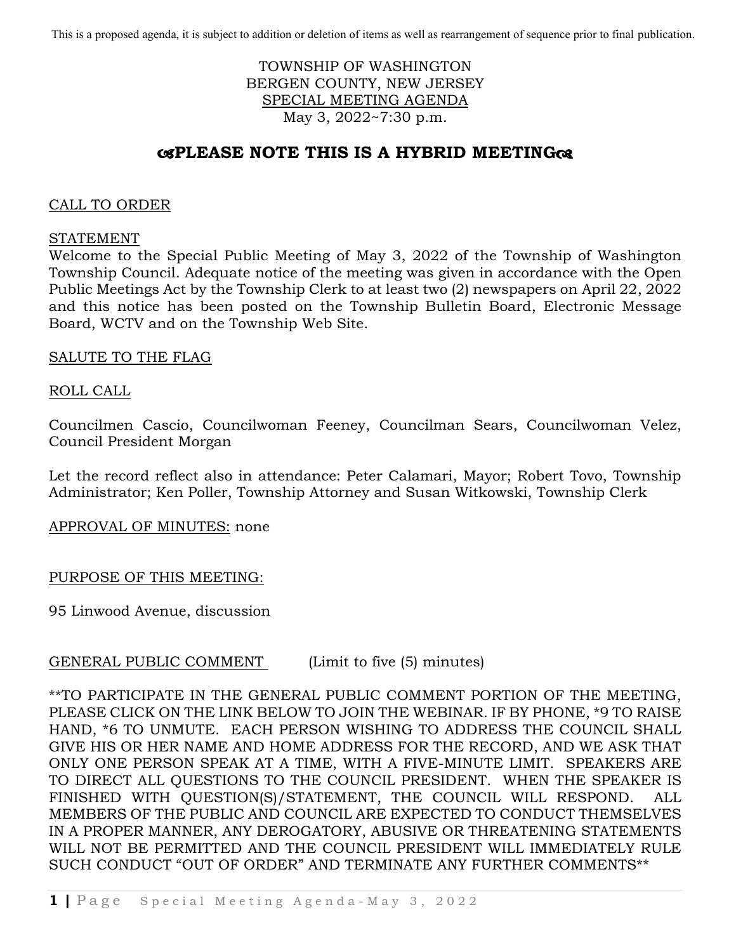This is a proposed agenda, it is subject to addition or deletion of items as well as rearrangement of sequence prior to final publication.

## TOWNSHIP OF WASHINGTON BERGEN COUNTY, NEW JERSEY SPECIAL MEETING AGENDA May 3, 2022~7:30 p.m.

# **PLEASE NOTE THIS IS A HYBRID MEETING**

### CALL TO ORDER

#### STATEMENT

Welcome to the Special Public Meeting of May 3, 2022 of the Township of Washington Township Council. Adequate notice of the meeting was given in accordance with the Open Public Meetings Act by the Township Clerk to at least two (2) newspapers on April 22, 2022 and this notice has been posted on the Township Bulletin Board, Electronic Message Board, WCTV and on the Township Web Site.

### SALUTE TO THE FLAG

## ROLL CALL

Councilmen Cascio, Councilwoman Feeney, Councilman Sears, Councilwoman Velez, Council President Morgan

Let the record reflect also in attendance: Peter Calamari, Mayor; Robert Tovo, Township Administrator; Ken Poller, Township Attorney and Susan Witkowski, Township Clerk

### APPROVAL OF MINUTES: none

### PURPOSE OF THIS MEETING:

95 Linwood Avenue, discussion

### GENERAL PUBLIC COMMENT (Limit to five (5) minutes)

\*\*TO PARTICIPATE IN THE GENERAL PUBLIC COMMENT PORTION OF THE MEETING, PLEASE CLICK ON THE LINK BELOW TO JOIN THE WEBINAR. IF BY PHONE, \*9 TO RAISE HAND, \*6 TO UNMUTE. EACH PERSON WISHING TO ADDRESS THE COUNCIL SHALL GIVE HIS OR HER NAME AND HOME ADDRESS FOR THE RECORD, AND WE ASK THAT ONLY ONE PERSON SPEAK AT A TIME, WITH A FIVE-MINUTE LIMIT. SPEAKERS ARE TO DIRECT ALL QUESTIONS TO THE COUNCIL PRESIDENT. WHEN THE SPEAKER IS FINISHED WITH QUESTION(S)/STATEMENT, THE COUNCIL WILL RESPOND. ALL MEMBERS OF THE PUBLIC AND COUNCIL ARE EXPECTED TO CONDUCT THEMSELVES IN A PROPER MANNER, ANY DEROGATORY, ABUSIVE OR THREATENING STATEMENTS WILL NOT BE PERMITTED AND THE COUNCIL PRESIDENT WILL IMMEDIATELY RULE SUCH CONDUCT "OUT OF ORDER" AND TERMINATE ANY FURTHER COMMENTS\*\*